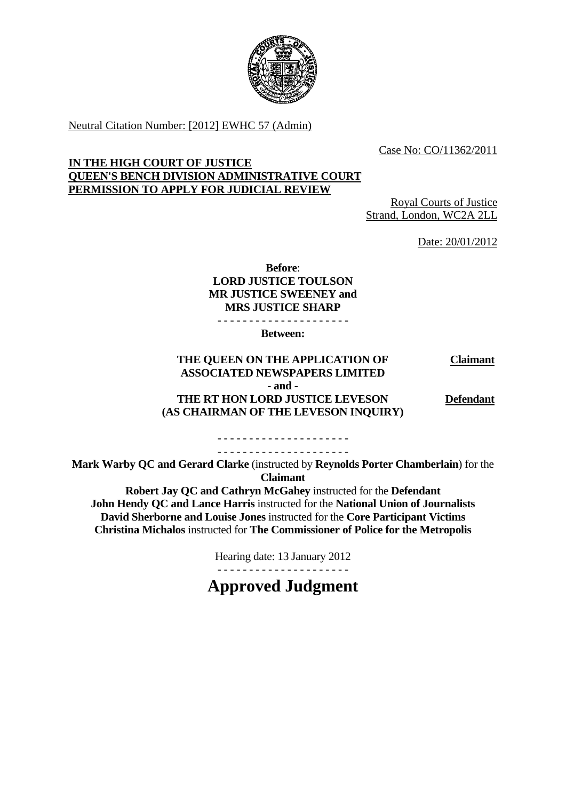

Neutral Citation Number: [2012] EWHC 57 (Admin)

Case No: CO/11362/2011

### **IN THE HIGH COURT OF JUSTICE QUEEN'S BENCH DIVISION ADMINISTRATIVE COURT PERMISSION TO APPLY FOR JUDICIAL REVIEW**

Royal Courts of Justice Strand, London, WC2A 2LL

Date: 20/01/2012

## **Before**: **LORD JUSTICE TOULSON MR JUSTICE SWEENEY and MRS JUSTICE SHARP**

- - - - - - - - - - - - - - - - - - - - -

**Between:** 

#### **THE QUEEN ON THE APPLICATION OF ASSOCIATED NEWSPAPERS LIMITED - and - THE RT HON LORD JUSTICE LEVESON (AS CHAIRMAN OF THE LEVESON INQUIRY) Claimant Defendant**

- - - - - - - - - - - - - - - - - - - - - - - - - - - - - - - - - - - - - - - - - -

**Mark Warby QC and Gerard Clarke** (instructed by **Reynolds Porter Chamberlain**) for the **Claimant** 

 **Christina Michalos** instructed for **The Commissioner of Police for the Metropolis Robert Jay QC and Cathryn McGahey** instructed for the **Defendant John Hendy QC and Lance Harris** instructed for the **National Union of Journalists David Sherborne and Louise Jones** instructed for the **Core Participant Victims** 

Hearing date: 13 January 2012

- - - - - - - - - - - - - - - - - - - - -

**Approved Judgment**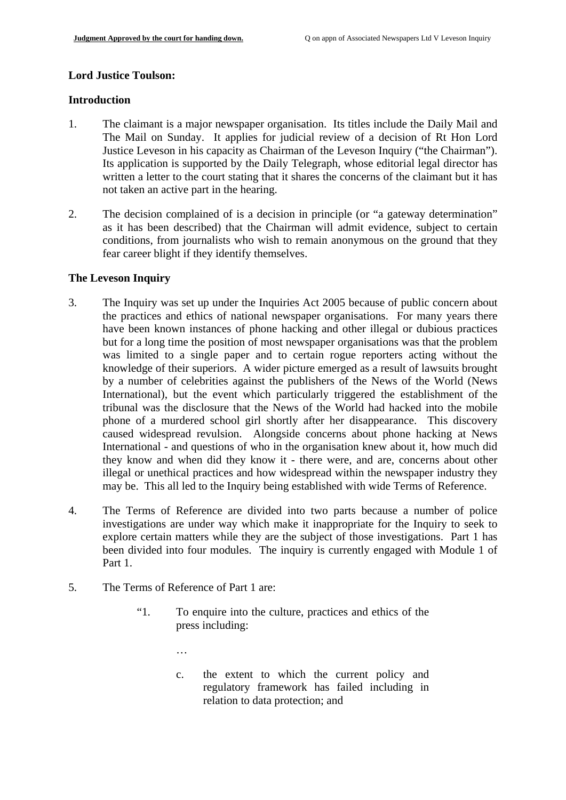# **Lord Justice Toulson: Introduction**

- 1. The claimant is a major newspaper organisation. Its titles include the Daily Mail and The Mail on Sunday. It applies for judicial review of a decision of Rt Hon Lord Justice Leveson in his capacity as Chairman of the Leveson Inquiry ("the Chairman"). Its application is supported by the Daily Telegraph, whose editorial legal director has written a letter to the court stating that it shares the concerns of the claimant but it has not taken an active part in the hearing.
- 2. The decision complained of is a decision in principle (or "a gateway determination" as it has been described) that the Chairman will admit evidence, subject to certain conditions, from journalists who wish to remain anonymous on the ground that they fear career blight if they identify themselves.

#### **The Leveson Inquiry**

- 3. The Inquiry was set up under the Inquiries Act 2005 because of public concern about the practices and ethics of national newspaper organisations. For many years there have been known instances of phone hacking and other illegal or dubious practices but for a long time the position of most newspaper organisations was that the problem was limited to a single paper and to certain rogue reporters acting without the knowledge of their superiors. A wider picture emerged as a result of lawsuits brought by a number of celebrities against the publishers of the News of the World (News International), but the event which particularly triggered the establishment of the tribunal was the disclosure that the News of the World had hacked into the mobile phone of a murdered school girl shortly after her disappearance. This discovery caused widespread revulsion. Alongside concerns about phone hacking at News International - and questions of who in the organisation knew about it, how much did they know and when did they know it - there were, and are, concerns about other illegal or unethical practices and how widespread within the newspaper industry they may be. This all led to the Inquiry being established with wide Terms of Reference.
- 4. The Terms of Reference are divided into two parts because a number of police investigations are under way which make it inappropriate for the Inquiry to seek to explore certain matters while they are the subject of those investigations. Part 1 has been divided into four modules. The inquiry is currently engaged with Module 1 of Part 1.
- 5. The Terms of Reference of Part 1 are:
	- "1. To enquire into the culture, practices and ethics of the press including:
		- …
		- c. the extent to which the current policy and regulatory framework has failed including in relation to data protection; and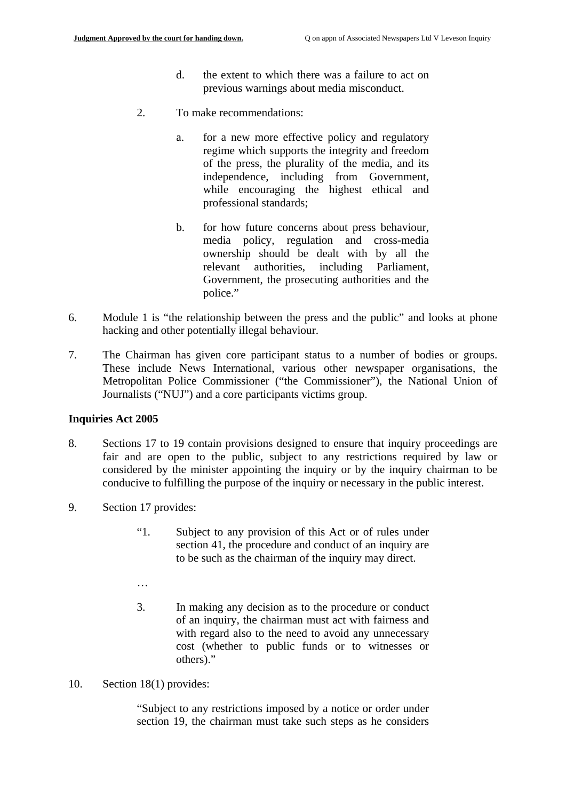- d. the extent to which there was a failure to act on previous warnings about media misconduct.
- 2. To make recommendations:
	- a. for a new more effective policy and regulatory regime which supports the integrity and freedom of the press, the plurality of the media, and its independence, including from Government, while encouraging the highest ethical and professional standards;
	- b. for how future concerns about press behaviour, media policy, regulation and cross-media ownership should be dealt with by all the relevant authorities, including Parliament, Government, the prosecuting authorities and the police."
- 6. Module 1 is "the relationship between the press and the public" and looks at phone hacking and other potentially illegal behaviour.
- 7. The Chairman has given core participant status to a number of bodies or groups. These include News International, various other newspaper organisations, the Metropolitan Police Commissioner ("the Commissioner"), the National Union of Journalists ("NUJ") and a core participants victims group.

#### **Inquiries Act 2005**

- 8. Sections 17 to 19 contain provisions designed to ensure that inquiry proceedings are fair and are open to the public, subject to any restrictions required by law or considered by the minister appointing the inquiry or by the inquiry chairman to be conducive to fulfilling the purpose of the inquiry or necessary in the public interest.
- 9. Section 17 provides:
	- "1. Subject to any provision of this Act or of rules under section 41, the procedure and conduct of an inquiry are to be such as the chairman of the inquiry may direct.
	- …
	- 3. In making any decision as to the procedure or conduct of an inquiry, the chairman must act with fairness and with regard also to the need to avoid any unnecessary cost (whether to public funds or to witnesses or others)."
- 10. Section 18(1) provides:

"Subject to any restrictions imposed by a notice or order under section 19, the chairman must take such steps as he considers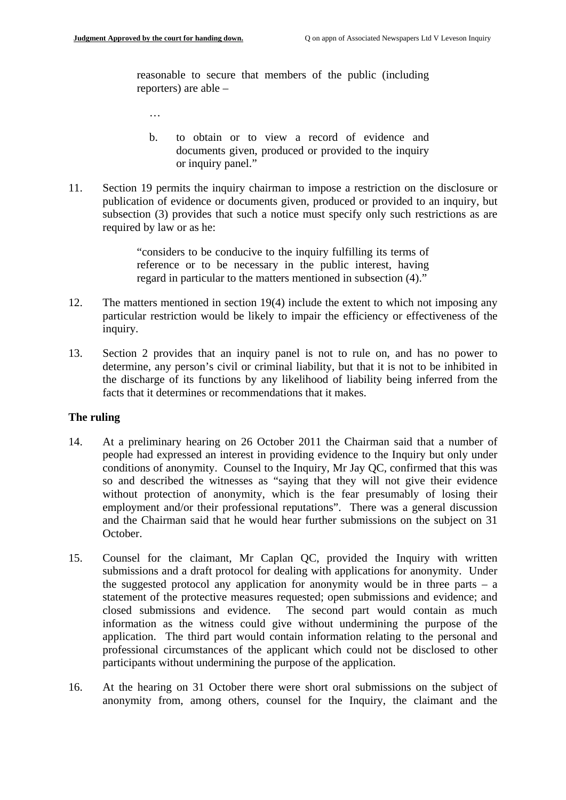…

reasonable to secure that members of the public (including reporters) are able –

- b. to obtain or to view a record of evidence and documents given, produced or provided to the inquiry or inquiry panel."
- 11. Section 19 permits the inquiry chairman to impose a restriction on the disclosure or publication of evidence or documents given, produced or provided to an inquiry, but subsection (3) provides that such a notice must specify only such restrictions as are required by law or as he:

"considers to be conducive to the inquiry fulfilling its terms of reference or to be necessary in the public interest, having regard in particular to the matters mentioned in subsection (4)."

- 12. The matters mentioned in section 19(4) include the extent to which not imposing any particular restriction would be likely to impair the efficiency or effectiveness of the inquiry.
- 13. Section 2 provides that an inquiry panel is not to rule on, and has no power to determine, any person's civil or criminal liability, but that it is not to be inhibited in the discharge of its functions by any likelihood of liability being inferred from the facts that it determines or recommendations that it makes.

#### **The ruling**

- 14. At a preliminary hearing on 26 October 2011 the Chairman said that a number of people had expressed an interest in providing evidence to the Inquiry but only under conditions of anonymity. Counsel to the Inquiry, Mr Jay QC, confirmed that this was so and described the witnesses as "saying that they will not give their evidence without protection of anonymity, which is the fear presumably of losing their employment and/or their professional reputations". There was a general discussion and the Chairman said that he would hear further submissions on the subject on 31 October.
- 15. Counsel for the claimant, Mr Caplan QC, provided the Inquiry with written submissions and a draft protocol for dealing with applications for anonymity. Under the suggested protocol any application for anonymity would be in three parts – a statement of the protective measures requested; open submissions and evidence; and closed submissions and evidence. The second part would contain as much information as the witness could give without undermining the purpose of the application. The third part would contain information relating to the personal and professional circumstances of the applicant which could not be disclosed to other participants without undermining the purpose of the application.
- 16. At the hearing on 31 October there were short oral submissions on the subject of anonymity from, among others, counsel for the Inquiry, the claimant and the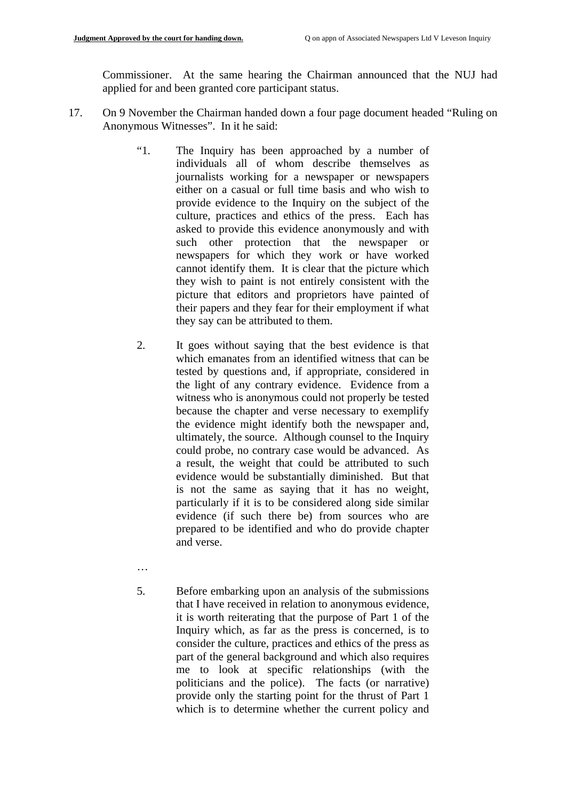Commissioner. At the same hearing the Chairman announced that the NUJ had applied for and been granted core participant status.

- 17. On 9 November the Chairman handed down a four page document headed "Ruling on Anonymous Witnesses". In it he said:
	- "1. The Inquiry has been approached by a number of individuals all of whom describe themselves as journalists working for a newspaper or newspapers either on a casual or full time basis and who wish to provide evidence to the Inquiry on the subject of the culture, practices and ethics of the press. Each has asked to provide this evidence anonymously and with such other protection that the newspaper or newspapers for which they work or have worked cannot identify them. It is clear that the picture which they wish to paint is not entirely consistent with the picture that editors and proprietors have painted of their papers and they fear for their employment if what they say can be attributed to them.
	- 2. It goes without saying that the best evidence is that which emanates from an identified witness that can be tested by questions and, if appropriate, considered in the light of any contrary evidence. Evidence from a witness who is anonymous could not properly be tested because the chapter and verse necessary to exemplify the evidence might identify both the newspaper and, ultimately, the source. Although counsel to the Inquiry could probe, no contrary case would be advanced. As a result, the weight that could be attributed to such evidence would be substantially diminished. But that is not the same as saying that it has no weight, particularly if it is to be considered along side similar evidence (if such there be) from sources who are prepared to be identified and who do provide chapter and verse.
	- …
	- 5. Before embarking upon an analysis of the submissions that I have received in relation to anonymous evidence, it is worth reiterating that the purpose of Part 1 of the Inquiry which, as far as the press is concerned, is to consider the culture, practices and ethics of the press as part of the general background and which also requires me to look at specific relationships (with the politicians and the police). The facts (or narrative) provide only the starting point for the thrust of Part 1 which is to determine whether the current policy and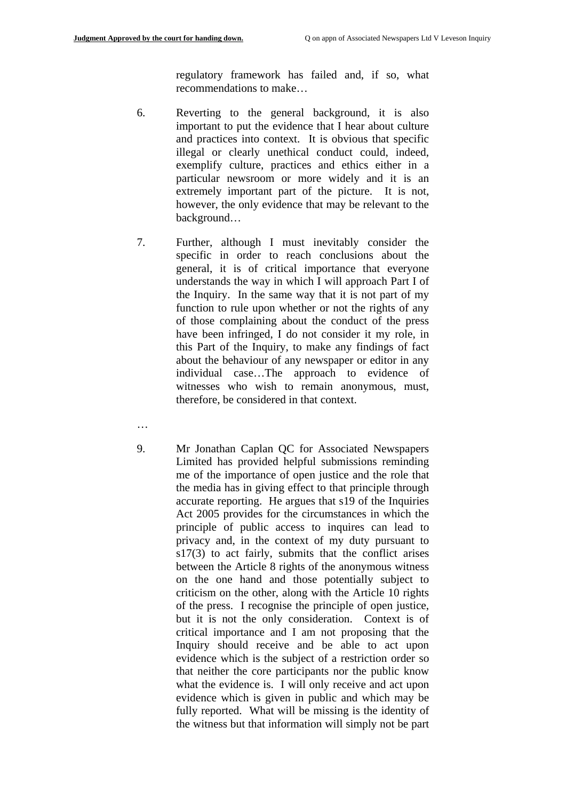regulatory framework has failed and, if so, what recommendations to make…

- 6. Reverting to the general background, it is also important to put the evidence that I hear about culture and practices into context. It is obvious that specific illegal or clearly unethical conduct could, indeed, exemplify culture, practices and ethics either in a particular newsroom or more widely and it is an extremely important part of the picture. It is not, however, the only evidence that may be relevant to the background…
- 7. Further, although I must inevitably consider the specific in order to reach conclusions about the general, it is of critical importance that everyone understands the way in which I will approach Part I of the Inquiry. In the same way that it is not part of my function to rule upon whether or not the rights of any of those complaining about the conduct of the press have been infringed, I do not consider it my role, in this Part of the Inquiry, to make any findings of fact about the behaviour of any newspaper or editor in any individual case…The approach to evidence of witnesses who wish to remain anonymous, must, therefore, be considered in that context.
- …
- 9. Mr Jonathan Caplan QC for Associated Newspapers Limited has provided helpful submissions reminding me of the importance of open justice and the role that the media has in giving effect to that principle through accurate reporting. He argues that s19 of the Inquiries Act 2005 provides for the circumstances in which the principle of public access to inquires can lead to privacy and, in the context of my duty pursuant to s17(3) to act fairly, submits that the conflict arises between the Article 8 rights of the anonymous witness on the one hand and those potentially subject to criticism on the other, along with the Article 10 rights of the press. I recognise the principle of open justice, but it is not the only consideration. Context is of critical importance and I am not proposing that the Inquiry should receive and be able to act upon evidence which is the subject of a restriction order so that neither the core participants nor the public know what the evidence is. I will only receive and act upon evidence which is given in public and which may be fully reported. What will be missing is the identity of the witness but that information will simply not be part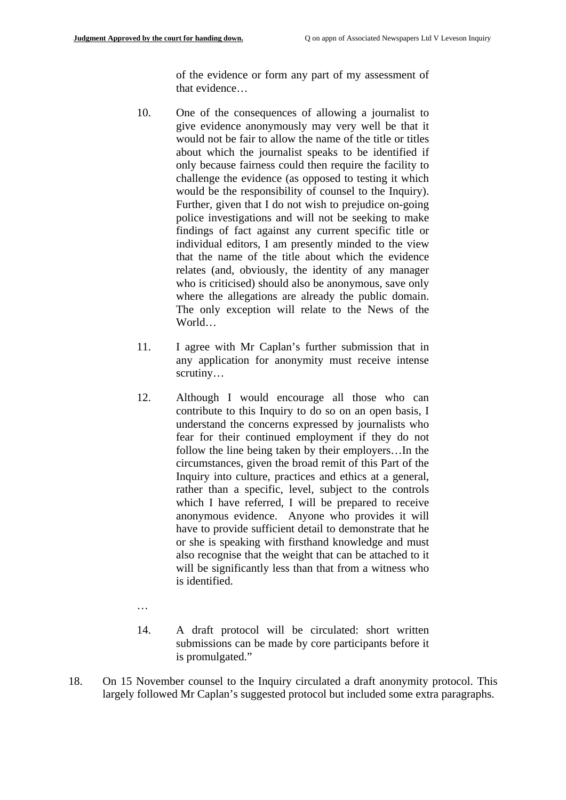of the evidence or form any part of my assessment of that evidence…

- would be the responsibility of counsel to the Inquiry). 10. One of the consequences of allowing a journalist to give evidence anonymously may very well be that it would not be fair to allow the name of the title or titles about which the journalist speaks to be identified if only because fairness could then require the facility to challenge the evidence (as opposed to testing it which Further, given that I do not wish to prejudice on-going. police investigations and will not be seeking to make findings of fact against any current specific title or individual editors, I am presently minded to the view that the name of the title about which the evidence relates (and, obviously, the identity of any manager who is criticised) should also be anonymous, save only where the allegations are already the public domain. The only exception will relate to the News of the World…
- 11. I agree with Mr Caplan's further submission that in any application for anonymity must receive intense scrutiny…
- 12. Although I would encourage all those who can contribute to this Inquiry to do so on an open basis, I understand the concerns expressed by journalists who fear for their continued employment if they do not follow the line being taken by their employers…In the circumstances, given the broad remit of this Part of the Inquiry into culture, practices and ethics at a general, rather than a specific, level, subject to the controls which I have referred, I will be prepared to receive anonymous evidence. Anyone who provides it will have to provide sufficient detail to demonstrate that he or she is speaking with firsthand knowledge and must also recognise that the weight that can be attached to it will be significantly less than that from a witness who is identified.
- …
- 14. A draft protocol will be circulated: short written submissions can be made by core participants before it is promulgated."
- 18. On 15 November counsel to the Inquiry circulated a draft anonymity protocol. This largely followed Mr Caplan's suggested protocol but included some extra paragraphs.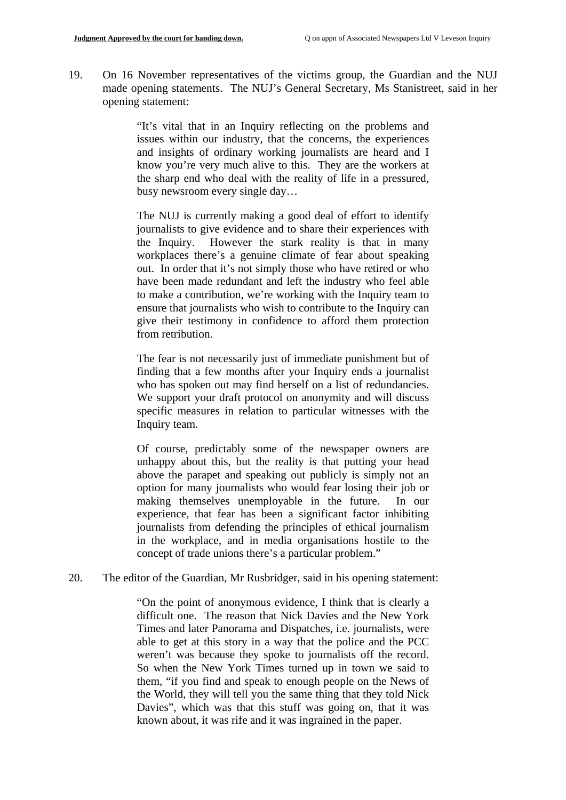19. On 16 November representatives of the victims group, the Guardian and the NUJ made opening statements. The NUJ's General Secretary, Ms Stanistreet, said in her opening statement:

> "It's vital that in an Inquiry reflecting on the problems and issues within our industry, that the concerns, the experiences and insights of ordinary working journalists are heard and I know you're very much alive to this. They are the workers at the sharp end who deal with the reality of life in a pressured, busy newsroom every single day…

> The NUJ is currently making a good deal of effort to identify journalists to give evidence and to share their experiences with the Inquiry. However the stark reality is that in many workplaces there's a genuine climate of fear about speaking out. In order that it's not simply those who have retired or who have been made redundant and left the industry who feel able to make a contribution, we're working with the Inquiry team to ensure that journalists who wish to contribute to the Inquiry can give their testimony in confidence to afford them protection from retribution.

> The fear is not necessarily just of immediate punishment but of finding that a few months after your Inquiry ends a journalist who has spoken out may find herself on a list of redundancies. We support your draft protocol on anonymity and will discuss specific measures in relation to particular witnesses with the Inquiry team.

> Of course, predictably some of the newspaper owners are unhappy about this, but the reality is that putting your head above the parapet and speaking out publicly is simply not an option for many journalists who would fear losing their job or making themselves unemployable in the future. In our experience, that fear has been a significant factor inhibiting journalists from defending the principles of ethical journalism in the workplace, and in media organisations hostile to the concept of trade unions there's a particular problem."

20. The editor of the Guardian, Mr Rusbridger, said in his opening statement:

"On the point of anonymous evidence, I think that is clearly a difficult one. The reason that Nick Davies and the New York Times and later Panorama and Dispatches, i.e. journalists, were able to get at this story in a way that the police and the PCC weren't was because they spoke to journalists off the record. So when the New York Times turned up in town we said to them, "if you find and speak to enough people on the News of the World, they will tell you the same thing that they told Nick Davies", which was that this stuff was going on, that it was known about, it was rife and it was ingrained in the paper.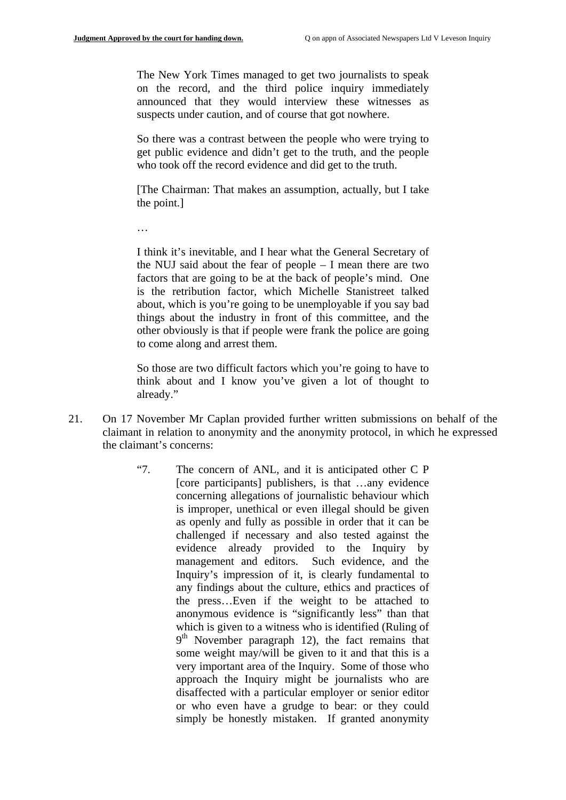The New York Times managed to get two journalists to speak on the record, and the third police inquiry immediately announced that they would interview these witnesses as suspects under caution, and of course that got nowhere.

So there was a contrast between the people who were trying to get public evidence and didn't get to the truth, and the people who took off the record evidence and did get to the truth.

[The Chairman: That makes an assumption, actually, but I take the point.]

…

I think it's inevitable, and I hear what the General Secretary of the NUJ said about the fear of people – I mean there are two factors that are going to be at the back of people's mind. One is the retribution factor, which Michelle Stanistreet talked about, which is you're going to be unemployable if you say bad things about the industry in front of this committee, and the other obviously is that if people were frank the police are going to come along and arrest them.

So those are two difficult factors which you're going to have to think about and I know you've given a lot of thought to already."

- 21. On 17 November Mr Caplan provided further written submissions on behalf of the claimant in relation to anonymity and the anonymity protocol, in which he expressed the claimant's concerns:
	- "7. The concern of ANL, and it is anticipated other C P [core participants] publishers, is that ...any evidence concerning allegations of journalistic behaviour which is improper, unethical or even illegal should be given as openly and fully as possible in order that it can be challenged if necessary and also tested against the evidence already provided to the Inquiry by management and editors. Such evidence, and the Inquiry's impression of it, is clearly fundamental to any findings about the culture, ethics and practices of the press…Even if the weight to be attached to anonymous evidence is "significantly less" than that which is given to a witness who is identified (Ruling of  $9<sup>th</sup>$  November paragraph 12), the fact remains that some weight may/will be given to it and that this is a very important area of the Inquiry. Some of those who approach the Inquiry might be journalists who are disaffected with a particular employer or senior editor or who even have a grudge to bear: or they could simply be honestly mistaken. If granted anonymity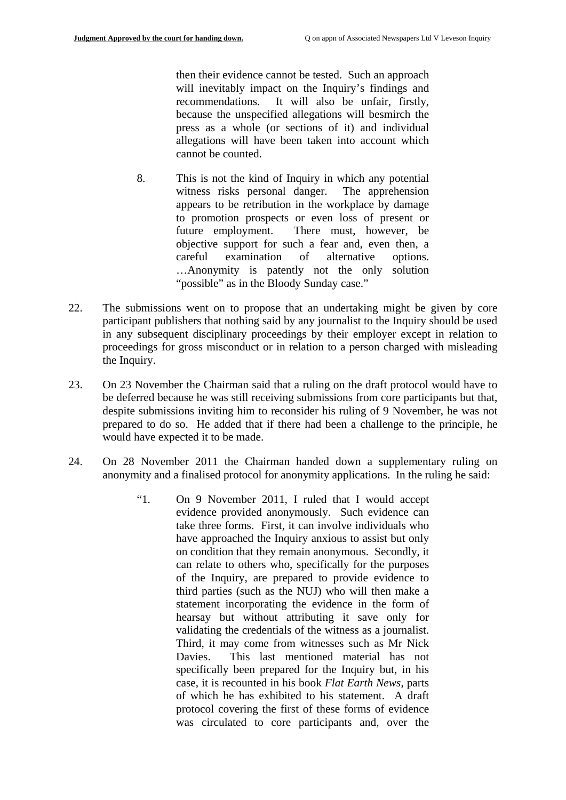then their evidence cannot be tested. Such an approach will inevitably impact on the Inquiry's findings and recommendations. It will also be unfair, firstly, because the unspecified allegations will besmirch the press as a whole (or sections of it) and individual allegations will have been taken into account which cannot be counted.

- 8. This is not the kind of Inquiry in which any potential witness risks personal danger. The apprehension appears to be retribution in the workplace by damage to promotion prospects or even loss of present or future employment. There must, however, be objective support for such a fear and, even then, a careful examination of alternative options. …Anonymity is patently not the only solution "possible" as in the Bloody Sunday case."
- 22. The submissions went on to propose that an undertaking might be given by core participant publishers that nothing said by any journalist to the Inquiry should be used in any subsequent disciplinary proceedings by their employer except in relation to proceedings for gross misconduct or in relation to a person charged with misleading the Inquiry.
- 23. On 23 November the Chairman said that a ruling on the draft protocol would have to be deferred because he was still receiving submissions from core participants but that, despite submissions inviting him to reconsider his ruling of 9 November, he was not prepared to do so. He added that if there had been a challenge to the principle, he would have expected it to be made.
- 24. On 28 November 2011 the Chairman handed down a supplementary ruling on anonymity and a finalised protocol for anonymity applications. In the ruling he said:
	- validating the credentials of the witness as a journalist. "1. On 9 November 2011, I ruled that I would accept evidence provided anonymously. Such evidence can take three forms. First, it can involve individuals who have approached the Inquiry anxious to assist but only on condition that they remain anonymous. Secondly, it can relate to others who, specifically for the purposes of the Inquiry, are prepared to provide evidence to third parties (such as the NUJ) who will then make a statement incorporating the evidence in the form of hearsay but without attributing it save only for Third, it may come from witnesses such as Mr Nick Davies. This last mentioned material has not specifically been prepared for the Inquiry but, in his case, it is recounted in his book *Flat Earth News*, parts of which he has exhibited to his statement. A draft protocol covering the first of these forms of evidence was circulated to core participants and, over the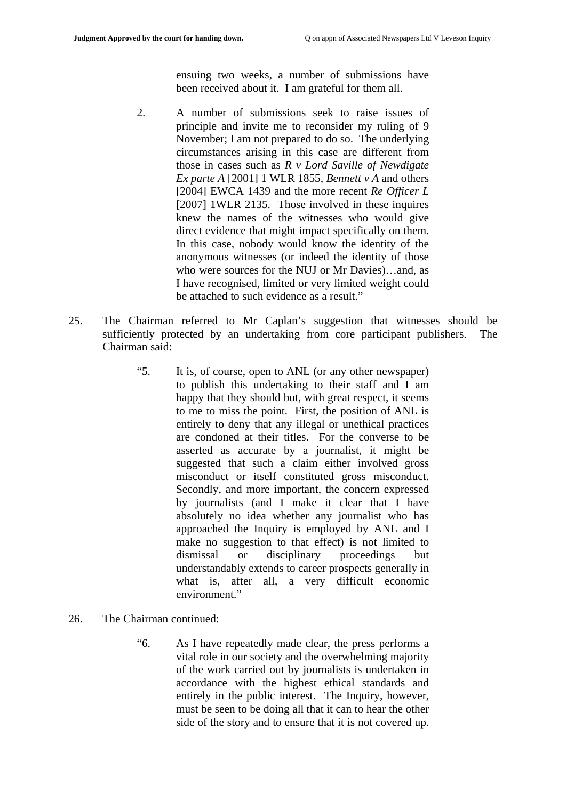ensuing two weeks, a number of submissions have been received about it. I am grateful for them all.

- 2. A number of submissions seek to raise issues of principle and invite me to reconsider my ruling of 9 November; I am not prepared to do so. The underlying circumstances arising in this case are different from those in cases such as *R v Lord Saville of Newdigate Ex parte A* [2001] 1 WLR 1855, *Bennett v A* and others [2004] EWCA 1439 and the more recent *Re Officer L*  [2007] 1WLR 2135. Those involved in these inquires knew the names of the witnesses who would give direct evidence that might impact specifically on them. In this case, nobody would know the identity of the anonymous witnesses (or indeed the identity of those who were sources for the NUJ or Mr Davies)…and, as I have recognised, limited or very limited weight could be attached to such evidence as a result."
- 25. The Chairman referred to Mr Caplan's suggestion that witnesses should be sufficiently protected by an undertaking from core participant publishers. The Chairman said:
	- "5. It is, of course, open to ANL (or any other newspaper) to publish this undertaking to their staff and I am happy that they should but, with great respect, it seems to me to miss the point. First, the position of ANL is entirely to deny that any illegal or unethical practices are condoned at their titles. For the converse to be asserted as accurate by a journalist, it might be suggested that such a claim either involved gross misconduct or itself constituted gross misconduct. Secondly, and more important, the concern expressed by journalists (and I make it clear that I have absolutely no idea whether any journalist who has approached the Inquiry is employed by ANL and I make no suggestion to that effect) is not limited to dismissal or disciplinary proceedings but understandably extends to career prospects generally in what is, after all, a very difficult economic environment."
- 26. The Chairman continued:
	- "6. As I have repeatedly made clear, the press performs a vital role in our society and the overwhelming majority of the work carried out by journalists is undertaken in accordance with the highest ethical standards and entirely in the public interest. The Inquiry, however, must be seen to be doing all that it can to hear the other side of the story and to ensure that it is not covered up.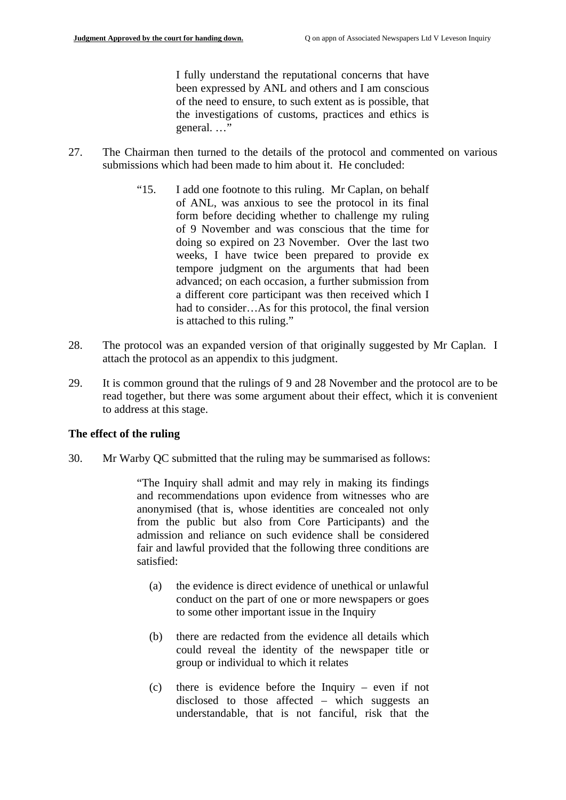I fully understand the reputational concerns that have been expressed by ANL and others and I am conscious of the need to ensure, to such extent as is possible, that the investigations of customs, practices and ethics is general. …"

- 27. The Chairman then turned to the details of the protocol and commented on various submissions which had been made to him about it. He concluded:
	- "15. I add one footnote to this ruling. Mr Caplan, on behalf of ANL, was anxious to see the protocol in its final form before deciding whether to challenge my ruling of 9 November and was conscious that the time for doing so expired on 23 November. Over the last two weeks, I have twice been prepared to provide ex tempore judgment on the arguments that had been advanced; on each occasion, a further submission from a different core participant was then received which I had to consider…As for this protocol, the final version is attached to this ruling."
- 28. The protocol was an expanded version of that originally suggested by Mr Caplan. I attach the protocol as an appendix to this judgment.
- 29. It is common ground that the rulings of 9 and 28 November and the protocol are to be read together, but there was some argument about their effect, which it is convenient to address at this stage.

#### **The effect of the ruling**

30. Mr Warby QC submitted that the ruling may be summarised as follows:

"The Inquiry shall admit and may rely in making its findings and recommendations upon evidence from witnesses who are anonymised (that is, whose identities are concealed not only from the public but also from Core Participants) and the admission and reliance on such evidence shall be considered fair and lawful provided that the following three conditions are satisfied:

- (a) the evidence is direct evidence of unethical or unlawful conduct on the part of one or more newspapers or goes to some other important issue in the Inquiry
- (b) there are redacted from the evidence all details which could reveal the identity of the newspaper title or group or individual to which it relates
- (c) there is evidence before the Inquiry even if not disclosed to those affected – which suggests an understandable, that is not fanciful, risk that the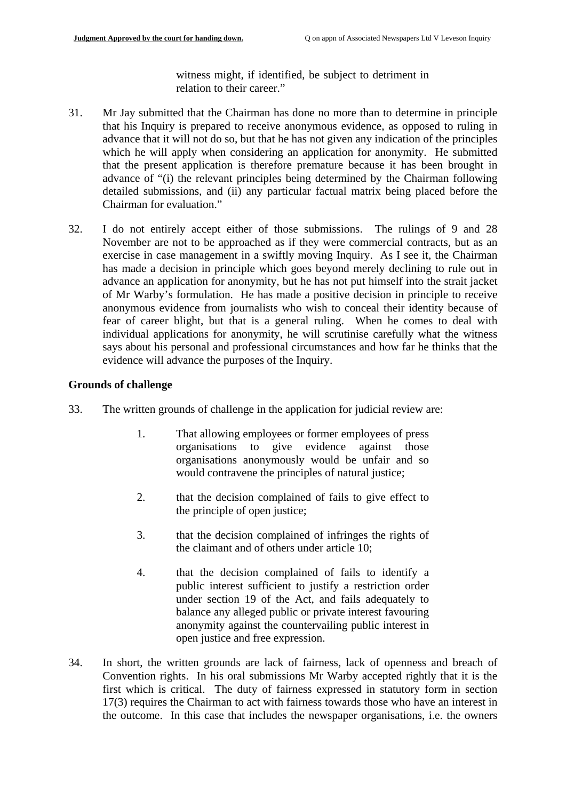witness might, if identified, be subject to detriment in relation to their career."

- 31. Mr Jay submitted that the Chairman has done no more than to determine in principle that his Inquiry is prepared to receive anonymous evidence, as opposed to ruling in advance that it will not do so, but that he has not given any indication of the principles which he will apply when considering an application for anonymity. He submitted that the present application is therefore premature because it has been brought in advance of "(i) the relevant principles being determined by the Chairman following detailed submissions, and (ii) any particular factual matrix being placed before the Chairman for evaluation."
- 32. I do not entirely accept either of those submissions. The rulings of 9 and 28 November are not to be approached as if they were commercial contracts, but as an exercise in case management in a swiftly moving Inquiry. As I see it, the Chairman has made a decision in principle which goes beyond merely declining to rule out in advance an application for anonymity, but he has not put himself into the strait jacket of Mr Warby's formulation. He has made a positive decision in principle to receive anonymous evidence from journalists who wish to conceal their identity because of fear of career blight, but that is a general ruling. When he comes to deal with individual applications for anonymity, he will scrutinise carefully what the witness says about his personal and professional circumstances and how far he thinks that the evidence will advance the purposes of the Inquiry.

### **Grounds of challenge**

- 33. The written grounds of challenge in the application for judicial review are:
	- 1. That allowing employees or former employees of press organisations to give evidence against those organisations anonymously would be unfair and so would contravene the principles of natural justice;
	- 2. that the decision complained of fails to give effect to the principle of open justice;
	- 3. that the decision complained of infringes the rights of the claimant and of others under article 10;
	- 4. that the decision complained of fails to identify a public interest sufficient to justify a restriction order under section 19 of the Act, and fails adequately to balance any alleged public or private interest favouring anonymity against the countervailing public interest in open justice and free expression.
- 34. In short, the written grounds are lack of fairness, lack of openness and breach of Convention rights. In his oral submissions Mr Warby accepted rightly that it is the first which is critical. The duty of fairness expressed in statutory form in section 17(3) requires the Chairman to act with fairness towards those who have an interest in the outcome. In this case that includes the newspaper organisations, i.e. the owners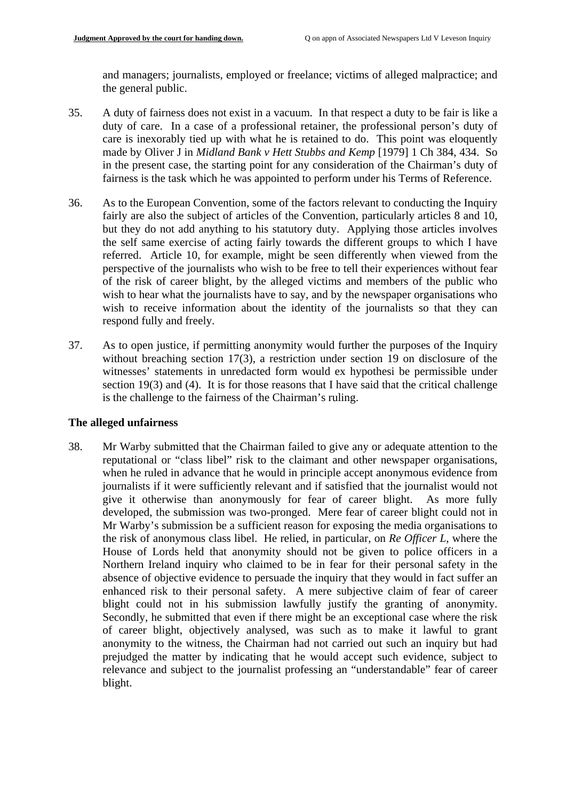and managers; journalists, employed or freelance; victims of alleged malpractice; and the general public.

- 35. A duty of fairness does not exist in a vacuum. In that respect a duty to be fair is like a duty of care. In a case of a professional retainer, the professional person's duty of care is inexorably tied up with what he is retained to do. This point was eloquently made by Oliver J in *Midland Bank v Hett Stubbs and Kemp* [1979] 1 Ch 384, 434. So in the present case, the starting point for any consideration of the Chairman's duty of fairness is the task which he was appointed to perform under his Terms of Reference.
- 36. As to the European Convention, some of the factors relevant to conducting the Inquiry fairly are also the subject of articles of the Convention, particularly articles 8 and 10, but they do not add anything to his statutory duty. Applying those articles involves the self same exercise of acting fairly towards the different groups to which I have referred. Article 10, for example, might be seen differently when viewed from the perspective of the journalists who wish to be free to tell their experiences without fear of the risk of career blight, by the alleged victims and members of the public who wish to hear what the journalists have to say, and by the newspaper organisations who wish to receive information about the identity of the journalists so that they can respond fully and freely.
- 37. As to open justice, if permitting anonymity would further the purposes of the Inquiry without breaching section 17(3), a restriction under section 19 on disclosure of the witnesses' statements in unredacted form would ex hypothesi be permissible under section 19(3) and (4). It is for those reasons that I have said that the critical challenge is the challenge to the fairness of the Chairman's ruling.

#### **The alleged unfairness**

38. Mr Warby submitted that the Chairman failed to give any or adequate attention to the reputational or "class libel" risk to the claimant and other newspaper organisations, when he ruled in advance that he would in principle accept anonymous evidence from journalists if it were sufficiently relevant and if satisfied that the journalist would not give it otherwise than anonymously for fear of career blight. As more fully developed, the submission was two-pronged. Mere fear of career blight could not in Mr Warby's submission be a sufficient reason for exposing the media organisations to the risk of anonymous class libel. He relied, in particular, on *Re Officer L*, where the House of Lords held that anonymity should not be given to police officers in a Northern Ireland inquiry who claimed to be in fear for their personal safety in the absence of objective evidence to persuade the inquiry that they would in fact suffer an enhanced risk to their personal safety. A mere subjective claim of fear of career blight could not in his submission lawfully justify the granting of anonymity. Secondly, he submitted that even if there might be an exceptional case where the risk of career blight, objectively analysed, was such as to make it lawful to grant anonymity to the witness, the Chairman had not carried out such an inquiry but had prejudged the matter by indicating that he would accept such evidence, subject to relevance and subject to the journalist professing an "understandable" fear of career blight.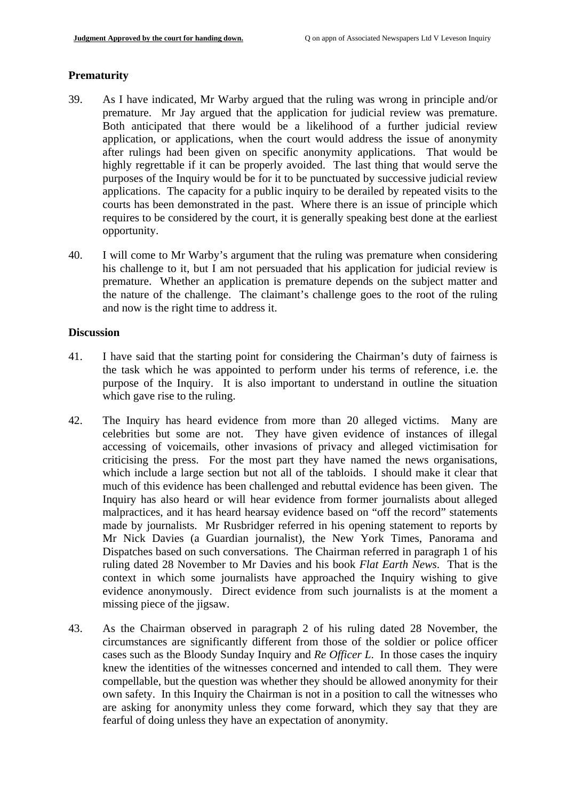#### **Prematurity**

- 39. As I have indicated, Mr Warby argued that the ruling was wrong in principle and/or premature. Mr Jay argued that the application for judicial review was premature. Both anticipated that there would be a likelihood of a further judicial review application, or applications, when the court would address the issue of anonymity after rulings had been given on specific anonymity applications. That would be highly regrettable if it can be properly avoided. The last thing that would serve the purposes of the Inquiry would be for it to be punctuated by successive judicial review applications. The capacity for a public inquiry to be derailed by repeated visits to the courts has been demonstrated in the past. Where there is an issue of principle which requires to be considered by the court, it is generally speaking best done at the earliest opportunity.
- 40. I will come to Mr Warby's argument that the ruling was premature when considering his challenge to it, but I am not persuaded that his application for judicial review is premature. Whether an application is premature depends on the subject matter and the nature of the challenge. The claimant's challenge goes to the root of the ruling and now is the right time to address it.

#### **Discussion**

- 41. I have said that the starting point for considering the Chairman's duty of fairness is the task which he was appointed to perform under his terms of reference, i.e. the purpose of the Inquiry. It is also important to understand in outline the situation which gave rise to the ruling.
- 42. The Inquiry has heard evidence from more than 20 alleged victims. Many are celebrities but some are not. They have given evidence of instances of illegal accessing of voicemails, other invasions of privacy and alleged victimisation for criticising the press. For the most part they have named the news organisations, which include a large section but not all of the tabloids. I should make it clear that much of this evidence has been challenged and rebuttal evidence has been given. The Inquiry has also heard or will hear evidence from former journalists about alleged malpractices, and it has heard hearsay evidence based on "off the record" statements made by journalists. Mr Rusbridger referred in his opening statement to reports by Mr Nick Davies (a Guardian journalist), the New York Times, Panorama and Dispatches based on such conversations. The Chairman referred in paragraph 1 of his ruling dated 28 November to Mr Davies and his book *Flat Earth News*. That is the context in which some journalists have approached the Inquiry wishing to give evidence anonymously. Direct evidence from such journalists is at the moment a missing piece of the jigsaw.
- 43. As the Chairman observed in paragraph 2 of his ruling dated 28 November, the circumstances are significantly different from those of the soldier or police officer cases such as the Bloody Sunday Inquiry and *Re Officer L*. In those cases the inquiry knew the identities of the witnesses concerned and intended to call them. They were compellable, but the question was whether they should be allowed anonymity for their own safety. In this Inquiry the Chairman is not in a position to call the witnesses who are asking for anonymity unless they come forward, which they say that they are fearful of doing unless they have an expectation of anonymity.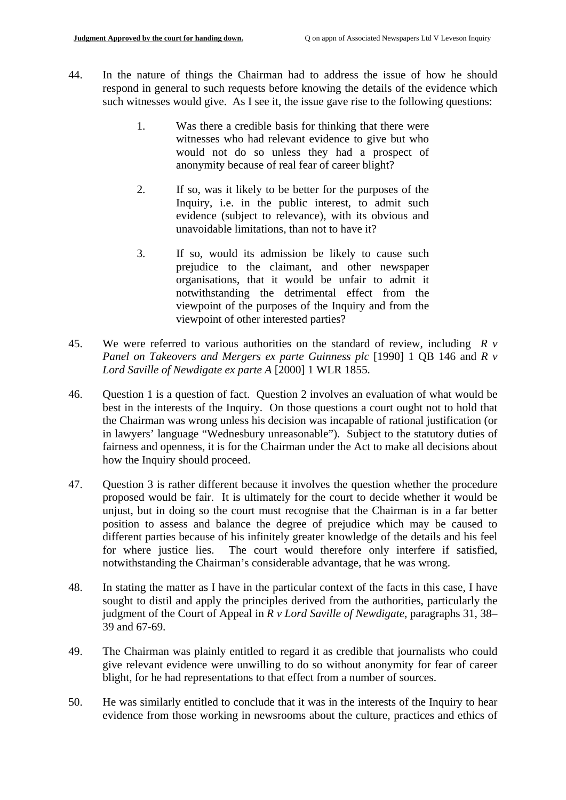- 44. In the nature of things the Chairman had to address the issue of how he should respond in general to such requests before knowing the details of the evidence which such witnesses would give. As I see it, the issue gave rise to the following questions:
	- 1. Was there a credible basis for thinking that there were witnesses who had relevant evidence to give but who would not do so unless they had a prospect of anonymity because of real fear of career blight?
	- 2. If so, was it likely to be better for the purposes of the Inquiry, i.e. in the public interest, to admit such evidence (subject to relevance), with its obvious and unavoidable limitations, than not to have it?
	- 3. If so, would its admission be likely to cause such prejudice to the claimant, and other newspaper organisations, that it would be unfair to admit it notwithstanding the detrimental effect from the viewpoint of the purposes of the Inquiry and from the viewpoint of other interested parties?
- 45. We were referred to various authorities on the standard of review, including  $\bar{R}$  v *Panel on Takeovers and Mergers ex parte Guinness plc* [1990] 1 QB 146 and *R v Lord Saville of Newdigate ex parte A* [2000] 1 WLR 1855.
- 46. Question 1 is a question of fact. Question 2 involves an evaluation of what would be best in the interests of the Inquiry. On those questions a court ought not to hold that the Chairman was wrong unless his decision was incapable of rational justification (or in lawyers' language "Wednesbury unreasonable"). Subject to the statutory duties of fairness and openness, it is for the Chairman under the Act to make all decisions about how the Inquiry should proceed.
- 47. Question 3 is rather different because it involves the question whether the procedure proposed would be fair. It is ultimately for the court to decide whether it would be unjust, but in doing so the court must recognise that the Chairman is in a far better position to assess and balance the degree of prejudice which may be caused to different parties because of his infinitely greater knowledge of the details and his feel for where justice lies. The court would therefore only interfere if satisfied, notwithstanding the Chairman's considerable advantage, that he was wrong.
- 48. In stating the matter as I have in the particular context of the facts in this case, I have sought to distil and apply the principles derived from the authorities, particularly the judgment of the Court of Appeal in *R v Lord Saville of Newdigate*, paragraphs 31, 38– 39 and 67-69.
- 49. The Chairman was plainly entitled to regard it as credible that journalists who could give relevant evidence were unwilling to do so without anonymity for fear of career blight, for he had representations to that effect from a number of sources.
- 50. He was similarly entitled to conclude that it was in the interests of the Inquiry to hear evidence from those working in newsrooms about the culture, practices and ethics of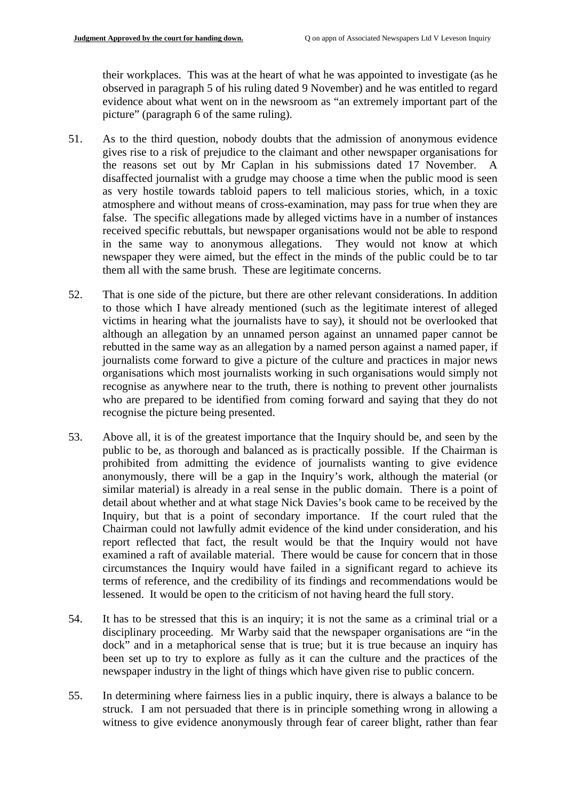their workplaces. This was at the heart of what he was appointed to investigate (as he observed in paragraph 5 of his ruling dated 9 November) and he was entitled to regard evidence about what went on in the newsroom as "an extremely important part of the picture" (paragraph 6 of the same ruling).

- 51. As to the third question, nobody doubts that the admission of anonymous evidence gives rise to a risk of prejudice to the claimant and other newspaper organisations for the reasons set out by Mr Caplan in his submissions dated 17 November. A disaffected journalist with a grudge may choose a time when the public mood is seen as very hostile towards tabloid papers to tell malicious stories, which, in a toxic atmosphere and without means of cross-examination, may pass for true when they are false. The specific allegations made by alleged victims have in a number of instances received specific rebuttals, but newspaper organisations would not be able to respond in the same way to anonymous allegations. They would not know at which newspaper they were aimed, but the effect in the minds of the public could be to tar them all with the same brush. These are legitimate concerns.
- 52. That is one side of the picture, but there are other relevant considerations. In addition to those which I have already mentioned (such as the legitimate interest of alleged victims in hearing what the journalists have to say), it should not be overlooked that although an allegation by an unnamed person against an unnamed paper cannot be rebutted in the same way as an allegation by a named person against a named paper, if journalists come forward to give a picture of the culture and practices in major news organisations which most journalists working in such organisations would simply not recognise as anywhere near to the truth, there is nothing to prevent other journalists who are prepared to be identified from coming forward and saying that they do not recognise the picture being presented.
- 53. Above all, it is of the greatest importance that the Inquiry should be, and seen by the public to be, as thorough and balanced as is practically possible. If the Chairman is prohibited from admitting the evidence of journalists wanting to give evidence anonymously, there will be a gap in the Inquiry's work, although the material (or similar material) is already in a real sense in the public domain. There is a point of detail about whether and at what stage Nick Davies's book came to be received by the Inquiry, but that is a point of secondary importance. If the court ruled that the Chairman could not lawfully admit evidence of the kind under consideration, and his report reflected that fact, the result would be that the Inquiry would not have examined a raft of available material. There would be cause for concern that in those circumstances the Inquiry would have failed in a significant regard to achieve its terms of reference, and the credibility of its findings and recommendations would be lessened. It would be open to the criticism of not having heard the full story.
- 54. It has to be stressed that this is an inquiry; it is not the same as a criminal trial or a disciplinary proceeding. Mr Warby said that the newspaper organisations are "in the dock" and in a metaphorical sense that is true; but it is true because an inquiry has been set up to try to explore as fully as it can the culture and the practices of the newspaper industry in the light of things which have given rise to public concern.
- 55. In determining where fairness lies in a public inquiry, there is always a balance to be struck. I am not persuaded that there is in principle something wrong in allowing a witness to give evidence anonymously through fear of career blight, rather than fear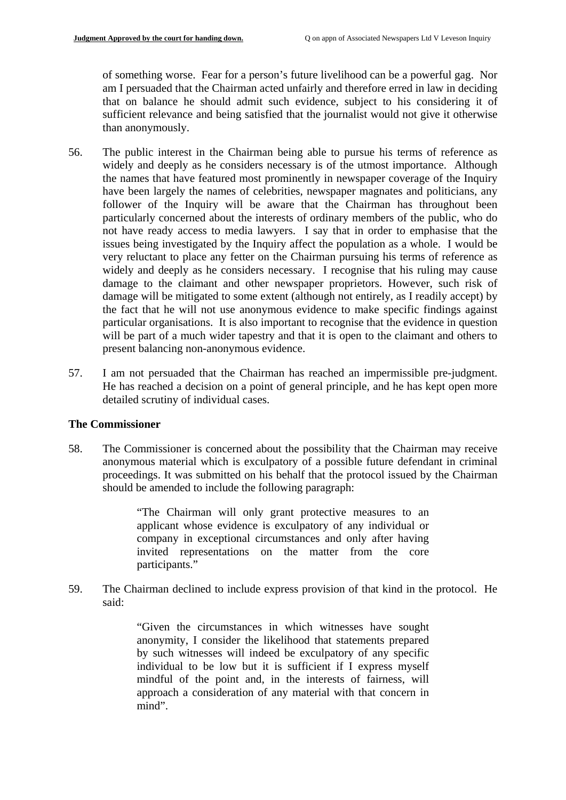of something worse. Fear for a person's future livelihood can be a powerful gag. Nor am I persuaded that the Chairman acted unfairly and therefore erred in law in deciding that on balance he should admit such evidence, subject to his considering it of sufficient relevance and being satisfied that the journalist would not give it otherwise than anonymously.

- 56. The public interest in the Chairman being able to pursue his terms of reference as widely and deeply as he considers necessary is of the utmost importance. Although the names that have featured most prominently in newspaper coverage of the Inquiry have been largely the names of celebrities, newspaper magnates and politicians, any follower of the Inquiry will be aware that the Chairman has throughout been particularly concerned about the interests of ordinary members of the public, who do not have ready access to media lawyers. I say that in order to emphasise that the issues being investigated by the Inquiry affect the population as a whole. I would be very reluctant to place any fetter on the Chairman pursuing his terms of reference as widely and deeply as he considers necessary. I recognise that his ruling may cause damage to the claimant and other newspaper proprietors. However, such risk of damage will be mitigated to some extent (although not entirely, as I readily accept) by the fact that he will not use anonymous evidence to make specific findings against particular organisations. It is also important to recognise that the evidence in question will be part of a much wider tapestry and that it is open to the claimant and others to present balancing non-anonymous evidence.
- 57. I am not persuaded that the Chairman has reached an impermissible pre-judgment. He has reached a decision on a point of general principle, and he has kept open more detailed scrutiny of individual cases.

#### **The Commissioner**

58. The Commissioner is concerned about the possibility that the Chairman may receive anonymous material which is exculpatory of a possible future defendant in criminal proceedings. It was submitted on his behalf that the protocol issued by the Chairman should be amended to include the following paragraph:

> "The Chairman will only grant protective measures to an applicant whose evidence is exculpatory of any individual or company in exceptional circumstances and only after having invited representations on the matter from the core participants."

59. The Chairman declined to include express provision of that kind in the protocol. He said:

> "Given the circumstances in which witnesses have sought anonymity, I consider the likelihood that statements prepared by such witnesses will indeed be exculpatory of any specific individual to be low but it is sufficient if I express myself mindful of the point and, in the interests of fairness, will approach a consideration of any material with that concern in mind".